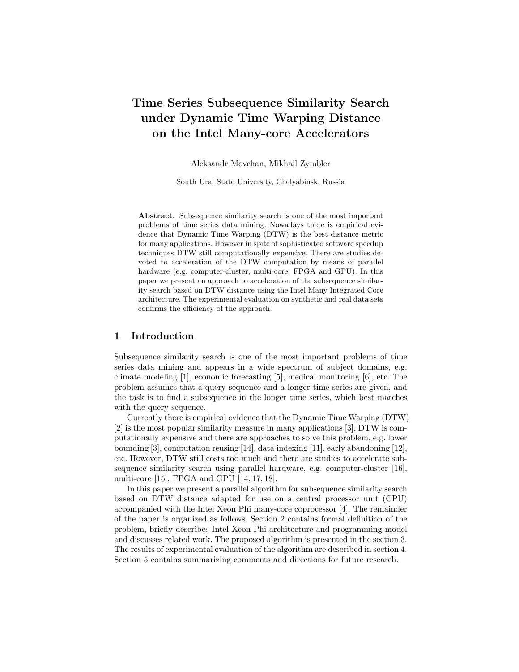# Time Series Subsequence Similarity Search under Dynamic Time Warping Distance on the Intel Many-core Accelerators

Aleksandr Movchan, Mikhail Zymbler

South Ural State University, Chelyabinsk, Russia

Abstract. Subsequence similarity search is one of the most important problems of time series data mining. Nowadays there is empirical evidence that Dynamic Time Warping (DTW) is the best distance metric for many applications. However in spite of sophisticated software speedup techniques DTW still computationally expensive. There are studies devoted to acceleration of the DTW computation by means of parallel hardware (e.g. computer-cluster, multi-core, FPGA and GPU). In this paper we present an approach to acceleration of the subsequence similarity search based on DTW distance using the Intel Many Integrated Core architecture. The experimental evaluation on synthetic and real data sets confirms the efficiency of the approach.

## 1 Introduction

Subsequence similarity search is one of the most important problems of time series data mining and appears in a wide spectrum of subject domains, e.g. climate modeling [1], economic forecasting [5], medical monitoring [6], etc. The problem assumes that a query sequence and a longer time series are given, and the task is to find a subsequence in the longer time series, which best matches with the query sequence.

Currently there is empirical evidence that the Dynamic Time Warping (DTW) [2] is the most popular similarity measure in many applications [3]. DTW is computationally expensive and there are approaches to solve this problem, e.g. lower bounding [3], computation reusing [14], data indexing [11], early abandoning [12], etc. However, DTW still costs too much and there are studies to accelerate subsequence similarity search using parallel hardware, e.g. computer-cluster [16], multi-core [15], FPGA and GPU [14, 17, 18].

In this paper we present a parallel algorithm for subsequence similarity search based on DTW distance adapted for use on a central processor unit (CPU) accompanied with the Intel Xeon Phi many-core coprocessor [4]. The remainder of the paper is organized as follows. Section 2 contains formal definition of the problem, briefly describes Intel Xeon Phi architecture and programming model and discusses related work. The proposed algorithm is presented in the section 3. The results of experimental evaluation of the algorithm are described in section 4. Section 5 contains summarizing comments and directions for future research.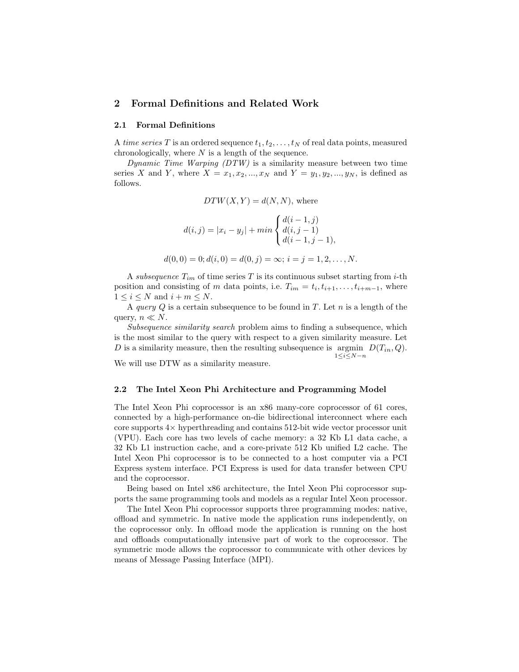# 2 Formal Definitions and Related Work

#### 2.1 Formal Definitions

A time series T is an ordered sequence  $t_1, t_2, \ldots, t_N$  of real data points, measured chronologically, where  $N$  is a length of the sequence.

Dynamic Time Warping  $(DTW)$  is a similarity measure between two time series X and Y, where  $X = x_1, x_2, ..., x_N$  and  $Y = y_1, y_2, ..., y_N$ , is defined as follows.

$$
DTW(X, Y) = d(N, N), \text{ where}
$$

$$
d(i, j) = |x_i - y_j| + min \begin{cases} d(i - 1, j) \\ d(i, j - 1) \\ d(i - 1, j - 1), \end{cases}
$$

$$
d(0, 0) = 0; d(i, 0) = d(0, j) = \infty; i = j = 1, 2, ..., N.
$$

A subsequence  $T_{im}$  of time series T is its continuous subset starting from *i*-th position and consisting of m data points, i.e.  $T_{im} = t_i, t_{i+1}, \ldots, t_{i+m-1}$ , where  $1 \leq i \leq N$  and  $i + m \leq N$ .

A query  $Q$  is a certain subsequence to be found in  $T$ . Let  $n$  is a length of the query,  $n \ll N$ .

Subsequence similarity search problem aims to finding a subsequence, which is the most similar to the query with respect to a given similarity measure. Let D is a similarity measure, then the resulting subsequence is argmin  $D(T_{in}, Q)$ .  $1 \leq i \leq N-n$ 

We will use DTW as a similarity measure.

#### 2.2 The Intel Xeon Phi Architecture and Programming Model

The Intel Xeon Phi coprocessor is an x86 many-core coprocessor of 61 cores, connected by a high-performance on-die bidirectional interconnect where each core supports  $4\times$  hyperthreading and contains 512-bit wide vector processor unit (VPU). Each core has two levels of cache memory: a 32 Kb L1 data cache, a 32 Kb L1 instruction cache, and a core-private 512 Kb unified L2 cache. The Intel Xeon Phi coprocessor is to be connected to a host computer via a PCI Express system interface. PCI Express is used for data transfer between CPU and the coprocessor.

Being based on Intel x86 architecture, the Intel Xeon Phi coprocessor supports the same programming tools and models as a regular Intel Xeon processor.

The Intel Xeon Phi coprocessor supports three programming modes: native, offload and symmetric. In native mode the application runs independently, on the coprocessor only. In offload mode the application is running on the host and offloads computationally intensive part of work to the coprocessor. The symmetric mode allows the coprocessor to communicate with other devices by means of Message Passing Interface (MPI).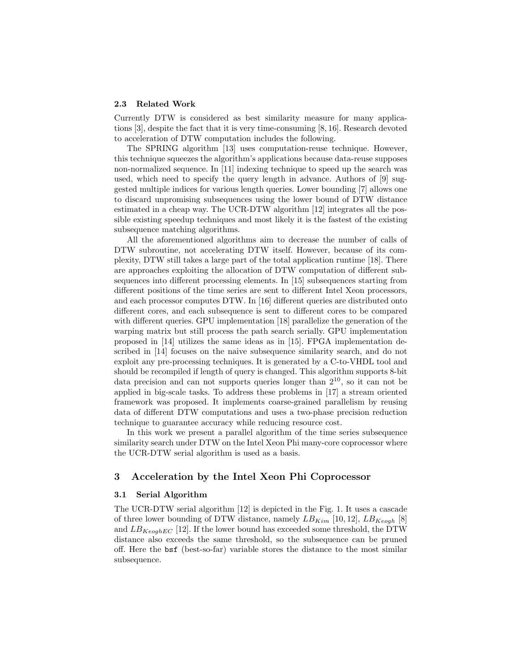#### 2.3 Related Work

Currently DTW is considered as best similarity measure for many applications [3], despite the fact that it is very time-consuming [8, 16]. Research devoted to acceleration of DTW computation includes the following.

The SPRING algorithm [13] uses computation-reuse technique. However, this technique squeezes the algorithm's applications because data-reuse supposes non-normalized sequence. In [11] indexing technique to speed up the search was used, which need to specify the query length in advance. Authors of [9] suggested multiple indices for various length queries. Lower bounding [7] allows one to discard unpromising subsequences using the lower bound of DTW distance estimated in a cheap way. The UCR-DTW algorithm [12] integrates all the possible existing speedup techniques and most likely it is the fastest of the existing subsequence matching algorithms.

All the aforementioned algorithms aim to decrease the number of calls of DTW subroutine, not accelerating DTW itself. However, because of its complexity, DTW still takes a large part of the total application runtime [18]. There are approaches exploiting the allocation of DTW computation of different subsequences into different processing elements. In [15] subsequences starting from different positions of the time series are sent to different Intel Xeon processors, and each processor computes DTW. In [16] different queries are distributed onto different cores, and each subsequence is sent to different cores to be compared with different queries. GPU implementation [18] parallelize the generation of the warping matrix but still process the path search serially. GPU implementation proposed in [14] utilizes the same ideas as in [15]. FPGA implementation described in [14] focuses on the naive subsequence similarity search, and do not exploit any pre-processing techniques. It is generated by a C-to-VHDL tool and should be recompiled if length of query is changed. This algorithm supports 8-bit data precision and can not supports queries longer than  $2^{10}$ , so it can not be applied in big-scale tasks. To address these problems in [17] a stream oriented framework was proposed. It implements coarse-grained parallelism by reusing data of different DTW computations and uses a two-phase precision reduction technique to guarantee accuracy while reducing resource cost.

In this work we present a parallel algorithm of the time series subsequence similarity search under DTW on the Intel Xeon Phi many-core coprocessor where the UCR-DTW serial algorithm is used as a basis.

## 3 Acceleration by the Intel Xeon Phi Coprocessor

### 3.1 Serial Algorithm

The UCR-DTW serial algorithm [12] is depicted in the Fig. 1. It uses a cascade of three lower bounding of DTW distance, namely  $LB_{Kim}$  [10, 12],  $LB_{Keosh}$  [8] and  $LB_{KeoshEC}$  [12]. If the lower bound has exceeded some threshold, the DTW distance also exceeds the same threshold, so the subsequence can be pruned off. Here the bsf (best-so-far) variable stores the distance to the most similar subsequence.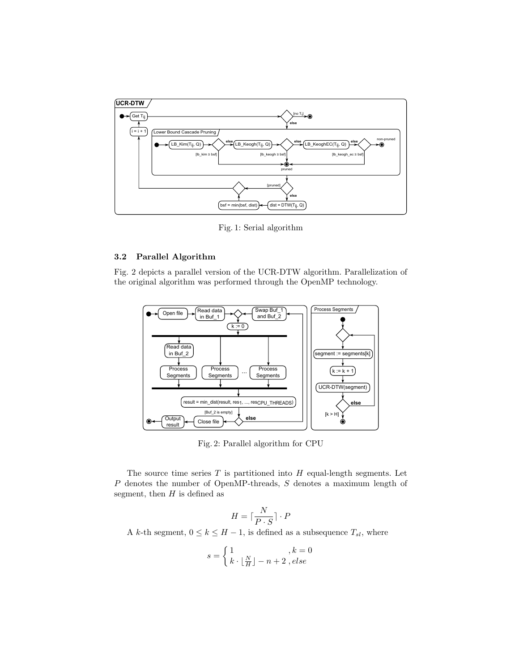

Fig. 1: Serial algorithm

## 3.2 Parallel Algorithm

Fig. 2 depicts a parallel version of the UCR-DTW algorithm. Parallelization of the original algorithm was performed through the OpenMP technology.



Fig. 2: Parallel algorithm for CPU

The source time series  $T$  is partitioned into  $H$  equal-length segments. Let P denotes the number of OpenMP-threads, S denotes a maximum length of segment, then  $H$  is defined as

$$
H = \lceil \frac{N}{P \cdot S} \rceil \cdot P
$$

A k-th segment,  $0 \le k \le H - 1$ , is defined as a subsequence  $T_{sl}$ , where

$$
s = \begin{cases} 1 & , k = 0\\ k \cdot \lfloor \frac{N}{H} \rfloor - n + 2 & , else \end{cases}
$$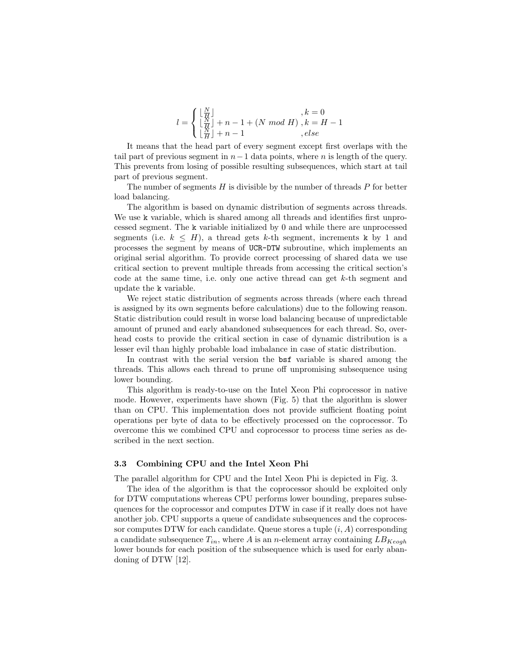$$
l = \begin{cases} \lfloor \frac{N}{H} \rfloor, & k = 0\\ \lfloor \frac{N}{H} \rfloor + n - 1 + (N \mod H), k = H - 1\\ \lfloor \frac{N}{H} \rfloor + n - 1, & else \end{cases}
$$

It means that the head part of every segment except first overlaps with the tail part of previous segment in  $n-1$  data points, where n is length of the query. This prevents from losing of possible resulting subsequences, which start at tail part of previous segment.

The number of segments  $H$  is divisible by the number of threads  $P$  for better load balancing.

The algorithm is based on dynamic distribution of segments across threads. We use k variable, which is shared among all threads and identifies first unprocessed segment. The k variable initialized by 0 and while there are unprocessed segments (i.e.  $k \leq H$ ), a thread gets k-th segment, increments k by 1 and processes the segment by means of UCR-DTW subroutine, which implements an original serial algorithm. To provide correct processing of shared data we use critical section to prevent multiple threads from accessing the critical section's code at the same time, i.e. only one active thread can get  $k$ -th segment and update the k variable.

We reject static distribution of segments across threads (where each thread is assigned by its own segments before calculations) due to the following reason. Static distribution could result in worse load balancing because of unpredictable amount of pruned and early abandoned subsequences for each thread. So, overhead costs to provide the critical section in case of dynamic distribution is a lesser evil than highly probable load imbalance in case of static distribution.

In contrast with the serial version the bsf variable is shared among the threads. This allows each thread to prune off unpromising subsequence using lower bounding.

This algorithm is ready-to-use on the Intel Xeon Phi coprocessor in native mode. However, experiments have shown (Fig. 5) that the algorithm is slower than on CPU. This implementation does not provide sufficient floating point operations per byte of data to be effectively processed on the coprocessor. To overcome this we combined CPU and coprocessor to process time series as described in the next section.

#### 3.3 Combining CPU and the Intel Xeon Phi

The parallel algorithm for CPU and the Intel Xeon Phi is depicted in Fig. 3.

The idea of the algorithm is that the coprocessor should be exploited only for DTW computations whereas CPU performs lower bounding, prepares subsequences for the coprocessor and computes DTW in case if it really does not have another job. CPU supports a queue of candidate subsequences and the coprocessor computes DTW for each candidate. Queue stores a tuple  $(i, A)$  corresponding a candidate subsequence  $T_{in}$ , where A is an n-element array containing  $LB_{Keosh}$ lower bounds for each position of the subsequence which is used for early abandoning of DTW [12].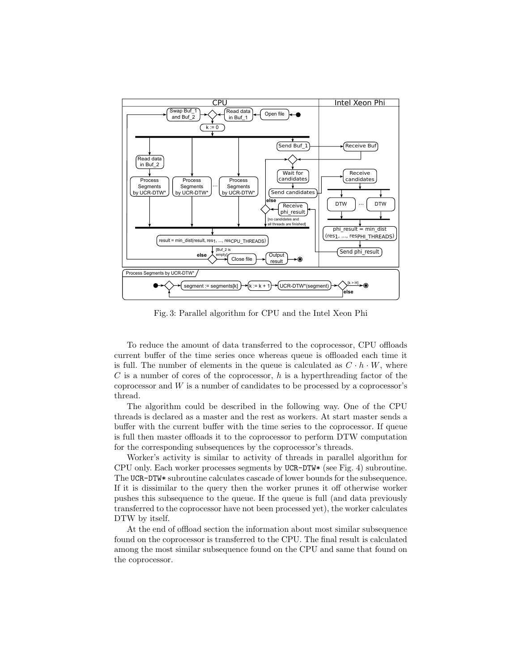

Fig. 3: Parallel algorithm for CPU and the Intel Xeon Phi

To reduce the amount of data transferred to the coprocessor, CPU offloads current buffer of the time series once whereas queue is offloaded each time it is full. The number of elements in the queue is calculated as  $C \cdot h \cdot W$ , where  $C$  is a number of cores of the coprocessor,  $h$  is a hyperthreading factor of the coprocessor and W is a number of candidates to be processed by a coprocessor's thread.

The algorithm could be described in the following way. One of the CPU threads is declared as a master and the rest as workers. At start master sends a buffer with the current buffer with the time series to the coprocessor. If queue is full then master offloads it to the coprocessor to perform DTW computation for the corresponding subsequences by the coprocessor's threads.

Worker's activity is similar to activity of threads in parallel algorithm for CPU only. Each worker processes segments by UCR-DTW\* (see Fig. 4) subroutine. The UCR-DTW\* subroutine calculates cascade of lower bounds for the subsequence. If it is dissimilar to the query then the worker prunes it off otherwise worker pushes this subsequence to the queue. If the queue is full (and data previously transferred to the coprocessor have not been processed yet), the worker calculates DTW by itself.

At the end of offload section the information about most similar subsequence found on the coprocessor is transferred to the CPU. The final result is calculated among the most similar subsequence found on the CPU and same that found on the coprocessor.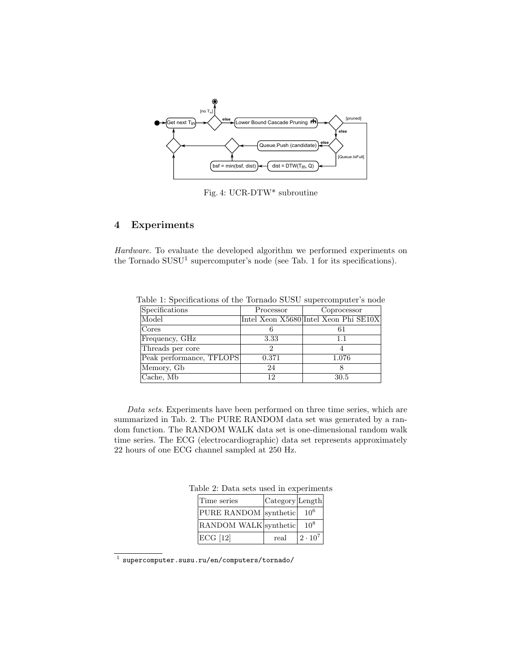

Fig. 4: UCR-DTW\* subroutine

# 4 Experiments

Hardware. To evaluate the developed algorithm we performed experiments on the Tornado  $SUSU<sup>1</sup>$  supercomputer's node (see Tab. 1 for its specifications).

| Specifications           | Processor | Coprocessor                           |
|--------------------------|-----------|---------------------------------------|
| Model                    |           | Intel Xeon X5680 Intel Xeon Phi SE10X |
| Cores                    |           | 61                                    |
| Frequency, GHz           | 3.33      | 11                                    |
| Threads per core         |           |                                       |
| Peak performance, TFLOPS | 0.371     | 1.076                                 |
| Memory, Gb               | 24        |                                       |
| Cache, Mb                | 12        | 30.5                                  |

Table 1: Specifications of the Tornado SUSU supercomputer's node

Data sets. Experiments have been performed on three time series, which are summarized in Tab. 2. The PURE RANDOM data set was generated by a random function. The RANDOM WALK data set is one-dimensional random walk time series. The ECG (electrocardiographic) data set represents approximately 22 hours of one ECG channel sampled at 250 Hz.

Table 2: Data sets used in experiments

| Time series           | Category Length |                |
|-----------------------|-----------------|----------------|
| PURE RANDOM synthetic |                 | $10^{6}$       |
| RANDOM WALK synthetic |                 | $10^{8}$       |
| ECG [12]              | real            | $ 2\cdot 10^7$ |

1 supercomputer.susu.ru/en/computers/tornado/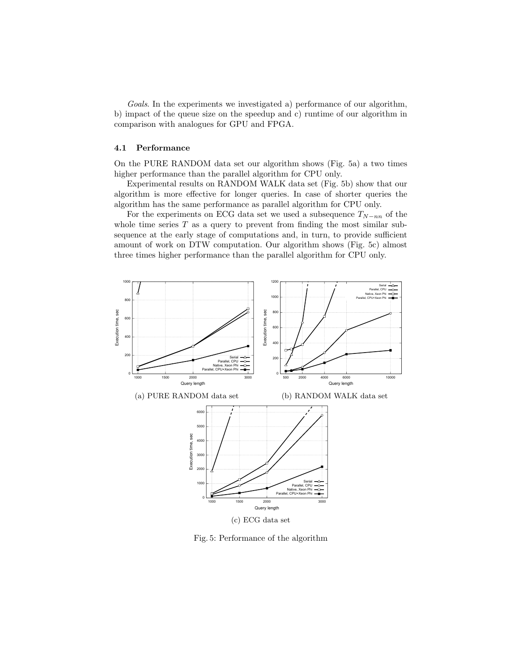Goals. In the experiments we investigated a) performance of our algorithm, b) impact of the queue size on the speedup and c) runtime of our algorithm in comparison with analogues for GPU and FPGA.

#### 4.1 Performance

On the PURE RANDOM data set our algorithm shows (Fig. 5a) a two times higher performance than the parallel algorithm for CPU only.

Experimental results on RANDOM WALK data set (Fig. 5b) show that our algorithm is more effective for longer queries. In case of shorter queries the algorithm has the same performance as parallel algorithm for CPU only.

For the experiments on ECG data set we used a subsequence  $T_{N-nn}$  of the whole time series  $T$  as a query to prevent from finding the most similar subsequence at the early stage of computations and, in turn, to provide sufficient amount of work on DTW computation. Our algorithm shows (Fig. 5c) almost three times higher performance than the parallel algorithm for CPU only.



Fig. 5: Performance of the algorithm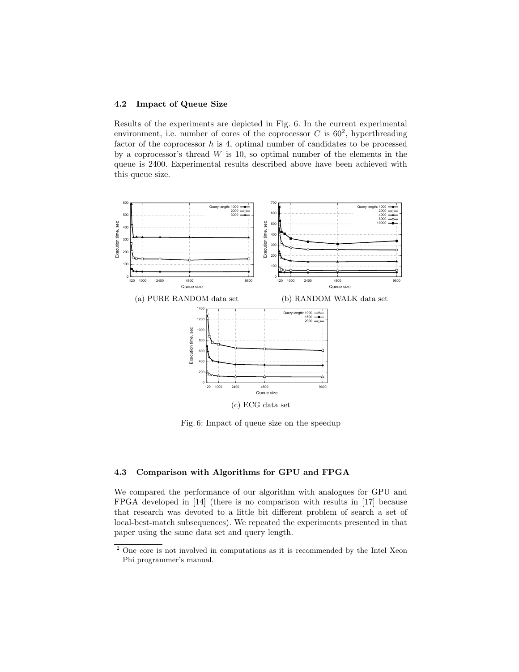## 4.2 Impact of Queue Size

Results of the experiments are depicted in Fig. 6. In the current experimental environment, i.e. number of cores of the coprocessor  $C$  is  $60^2$ , hyperthreading factor of the coprocessor  $h$  is 4, optimal number of candidates to be processed by a coprocessor's thread  $W$  is 10, so optimal number of the elements in the queue is 2400. Experimental results described above have been achieved with this queue size.



Fig. 6: Impact of queue size on the speedup

## 4.3 Comparison with Algorithms for GPU and FPGA

We compared the performance of our algorithm with analogues for GPU and FPGA developed in [14] (there is no comparison with results in [17] because that research was devoted to a little bit different problem of search a set of local-best-match subsequences). We repeated the experiments presented in that paper using the same data set and query length.

<sup>2</sup> One core is not involved in computations as it is recommended by the Intel Xeon Phi programmer's manual.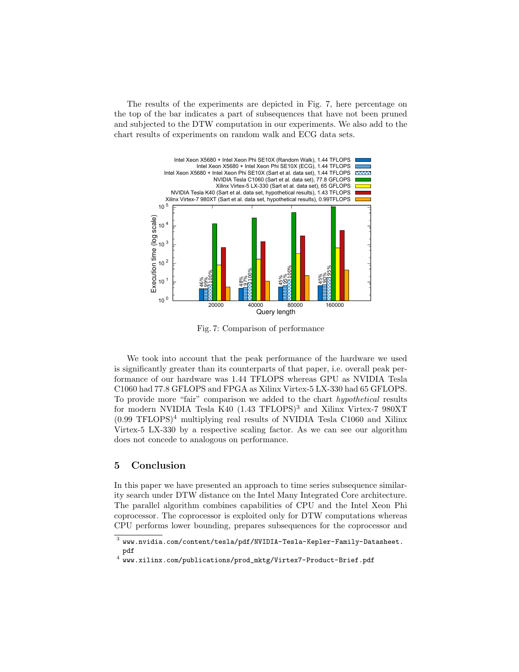The results of the experiments are depicted in Fig. 7, here percentage on the top of the bar indicates a part of subsequences that have not been pruned and subjected to the DTW computation in our experiments. We also add to the chart results of experiments on random walk and ECG data sets.



Fig. 7: Comparison of performance

We took into account that the peak performance of the hardware we used is significantly greater than its counterparts of that paper, i.e. overall peak performance of our hardware was 1.44 TFLOPS whereas GPU as NVIDIA Tesla C1060 had 77.8 GFLOPS and FPGA as Xilinx Virtex-5 LX-330 had 65 GFLOPS. To provide more "fair" comparison we added to the chart hypothetical results for modern NVIDIA Tesla K40 (1.43 TFLOPS)<sup>3</sup> and Xilinx Virtex-7 980XT  $(0.99 \text{ TFLOPS})^4$  multiplying real results of NVIDIA Tesla C1060 and Xilinx Virtex-5 LX-330 by a respective scaling factor. As we can see our algorithm does not concede to analogous on performance.

# 5 Conclusion

In this paper we have presented an approach to time series subsequence similarity search under DTW distance on the Intel Many Integrated Core architecture. The parallel algorithm combines capabilities of CPU and the Intel Xeon Phi coprocessor. The coprocessor is exploited only for DTW computations whereas CPU performs lower bounding, prepares subsequences for the coprocessor and

 $^3$  www.nvidia.com/content/tesla/pdf/NVIDIA-Tesla-Kepler-Family-Datasheet. pdf

 $^4$  www.xilinx.com/publications/prod\_mktg/Virtex7-Product-Brief.pdf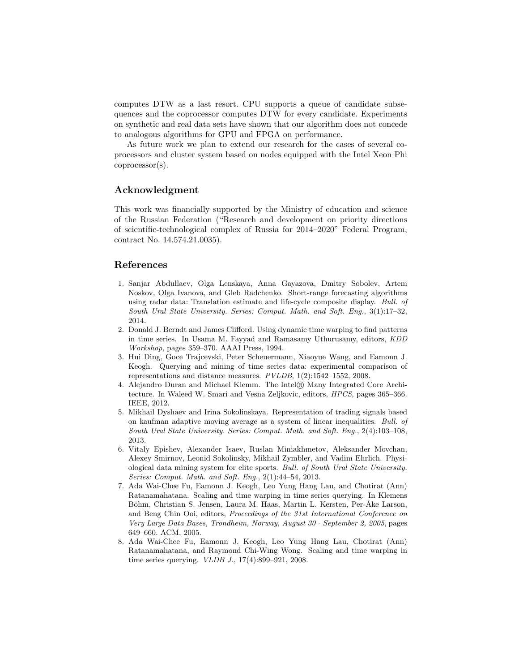computes DTW as a last resort. CPU supports a queue of candidate subsequences and the coprocessor computes DTW for every candidate. Experiments on synthetic and real data sets have shown that our algorithm does not concede to analogous algorithms for GPU and FPGA on performance.

As future work we plan to extend our research for the cases of several coprocessors and cluster system based on nodes equipped with the Intel Xeon Phi coprocessor(s).

# Acknowledgment

This work was financially supported by the Ministry of education and science of the Russian Federation ("Research and development on priority directions of scientific-technological complex of Russia for 2014–2020" Federal Program, contract No. 14.574.21.0035).

# References

- 1. Sanjar Abdullaev, Olga Lenskaya, Anna Gayazova, Dmitry Sobolev, Artem Noskov, Olga Ivanova, and Gleb Radchenko. Short-range forecasting algorithms using radar data: Translation estimate and life-cycle composite display. Bull. of South Ural State University. Series: Comput. Math. and Soft. Eng., 3(1):17–32, 2014.
- 2. Donald J. Berndt and James Clifford. Using dynamic time warping to find patterns in time series. In Usama M. Fayyad and Ramasamy Uthurusamy, editors, KDD Workshop, pages 359–370. AAAI Press, 1994.
- 3. Hui Ding, Goce Trajcevski, Peter Scheuermann, Xiaoyue Wang, and Eamonn J. Keogh. Querying and mining of time series data: experimental comparison of representations and distance measures. PVLDB, 1(2):1542–1552, 2008.
- 4. Alejandro Duran and Michael Klemm. The Intel <sup>R</sup> Many Integrated Core Architecture. In Waleed W. Smari and Vesna Zeljkovic, editors, HPCS, pages 365–366. IEEE, 2012.
- 5. Mikhail Dyshaev and Irina Sokolinskaya. Representation of trading signals based on kaufman adaptive moving average as a system of linear inequalities. Bull. of South Ural State University. Series: Comput. Math. and Soft. Eng., 2(4):103–108, 2013.
- 6. Vitaly Epishev, Alexander Isaev, Ruslan Miniakhmetov, Aleksander Movchan, Alexey Smirnov, Leonid Sokolinsky, Mikhail Zymbler, and Vadim Ehrlich. Physiological data mining system for elite sports. Bull. of South Ural State University. Series: Comput. Math. and Soft. Eng., 2(1):44–54, 2013.
- 7. Ada Wai-Chee Fu, Eamonn J. Keogh, Leo Yung Hang Lau, and Chotirat (Ann) Ratanamahatana. Scaling and time warping in time series querying. In Klemens Böhm, Christian S. Jensen, Laura M. Haas, Martin L. Kersten, Per-Åke Larson, and Beng Chin Ooi, editors, Proceedings of the 31st International Conference on Very Large Data Bases, Trondheim, Norway, August 30 - September 2, 2005, pages 649–660. ACM, 2005.
- 8. Ada Wai-Chee Fu, Eamonn J. Keogh, Leo Yung Hang Lau, Chotirat (Ann) Ratanamahatana, and Raymond Chi-Wing Wong. Scaling and time warping in time series querying. VLDB J., 17(4):899–921, 2008.